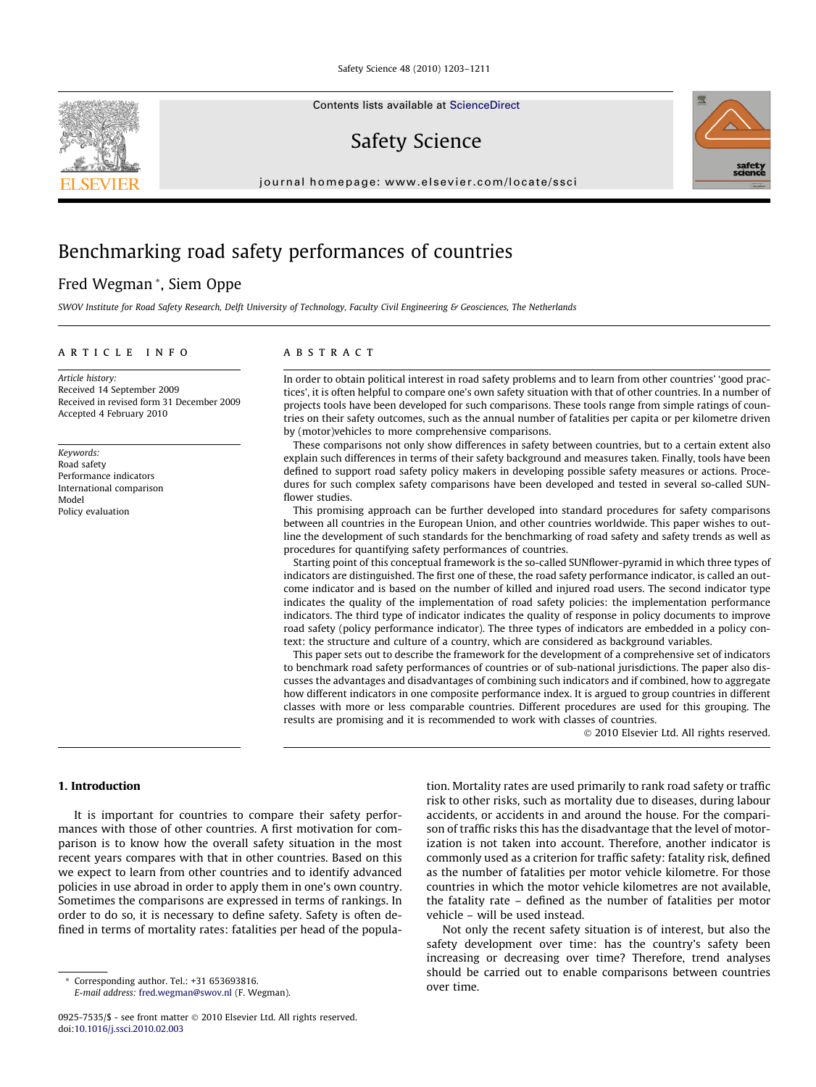Contents lists available at [ScienceDirect](http://www.sciencedirect.com/science/journal/09257535)

Safety Science

journal homepage: [www.elsevier.com/locate/ssci](http://www.elsevier.com/locate/ssci)



## Benchmarking road safety performances of countries

### Fred Wegman \*, Siem Oppe

SWOV Institute for Road Safety Research, Delft University of Technology, Faculty Civil Engineering & Geosciences, The Netherlands

#### article info

Article history: Received 14 September 2009 Received in revised form 31 December 2009 Accepted 4 February 2010

Keywords: Road safety Performance indicators International comparison Model Policy evaluation

#### **ABSTRACT**

In order to obtain political interest in road safety problems and to learn from other countries' 'good practices', it is often helpful to compare one's own safety situation with that of other countries. In a number of projects tools have been developed for such comparisons. These tools range from simple ratings of countries on their safety outcomes, such as the annual number of fatalities per capita or per kilometre driven by (motor)vehicles to more comprehensive comparisons.

These comparisons not only show differences in safety between countries, but to a certain extent also explain such differences in terms of their safety background and measures taken. Finally, tools have been defined to support road safety policy makers in developing possible safety measures or actions. Procedures for such complex safety comparisons have been developed and tested in several so-called SUNflower studies.

This promising approach can be further developed into standard procedures for safety comparisons between all countries in the European Union, and other countries worldwide. This paper wishes to outline the development of such standards for the benchmarking of road safety and safety trends as well as procedures for quantifying safety performances of countries.

Starting point of this conceptual framework is the so-called SUNflower-pyramid in which three types of indicators are distinguished. The first one of these, the road safety performance indicator, is called an outcome indicator and is based on the number of killed and injured road users. The second indicator type indicates the quality of the implementation of road safety policies: the implementation performance indicators. The third type of indicator indicates the quality of response in policy documents to improve road safety (policy performance indicator). The three types of indicators are embedded in a policy context: the structure and culture of a country, which are considered as background variables.

This paper sets out to describe the framework for the development of a comprehensive set of indicators to benchmark road safety performances of countries or of sub-national jurisdictions. The paper also discusses the advantages and disadvantages of combining such indicators and if combined, how to aggregate how different indicators in one composite performance index. It is argued to group countries in different classes with more or less comparable countries. Different procedures are used for this grouping. The results are promising and it is recommended to work with classes of countries.

- 2010 Elsevier Ltd. All rights reserved.

#### 1. Introduction

It is important for countries to compare their safety performances with those of other countries. A first motivation for comparison is to know how the overall safety situation in the most recent years compares with that in other countries. Based on this we expect to learn from other countries and to identify advanced policies in use abroad in order to apply them in one's own country. Sometimes the comparisons are expressed in terms of rankings. In order to do so, it is necessary to define safety. Safety is often defined in terms of mortality rates: fatalities per head of the popula-

Corresponding author. Tel.: +31 653693816. E-mail address: [fred.wegman@swov.nl](mailto:fred.wegman@swov.nl) (F. Wegman). tion. Mortality rates are used primarily to rank road safety or traffic risk to other risks, such as mortality due to diseases, during labour accidents, or accidents in and around the house. For the comparison of traffic risks this has the disadvantage that the level of motorization is not taken into account. Therefore, another indicator is commonly used as a criterion for traffic safety: fatality risk, defined as the number of fatalities per motor vehicle kilometre. For those countries in which the motor vehicle kilometres are not available, the fatality rate – defined as the number of fatalities per motor vehicle – will be used instead.

Not only the recent safety situation is of interest, but also the safety development over time: has the country's safety been increasing or decreasing over time? Therefore, trend analyses should be carried out to enable comparisons between countries over time.



<sup>0925-7535/\$ -</sup> see front matter © 2010 Elsevier Ltd. All rights reserved. doi[:10.1016/j.ssci.2010.02.003](http://dx.doi.org/10.1016/j.ssci.2010.02.003)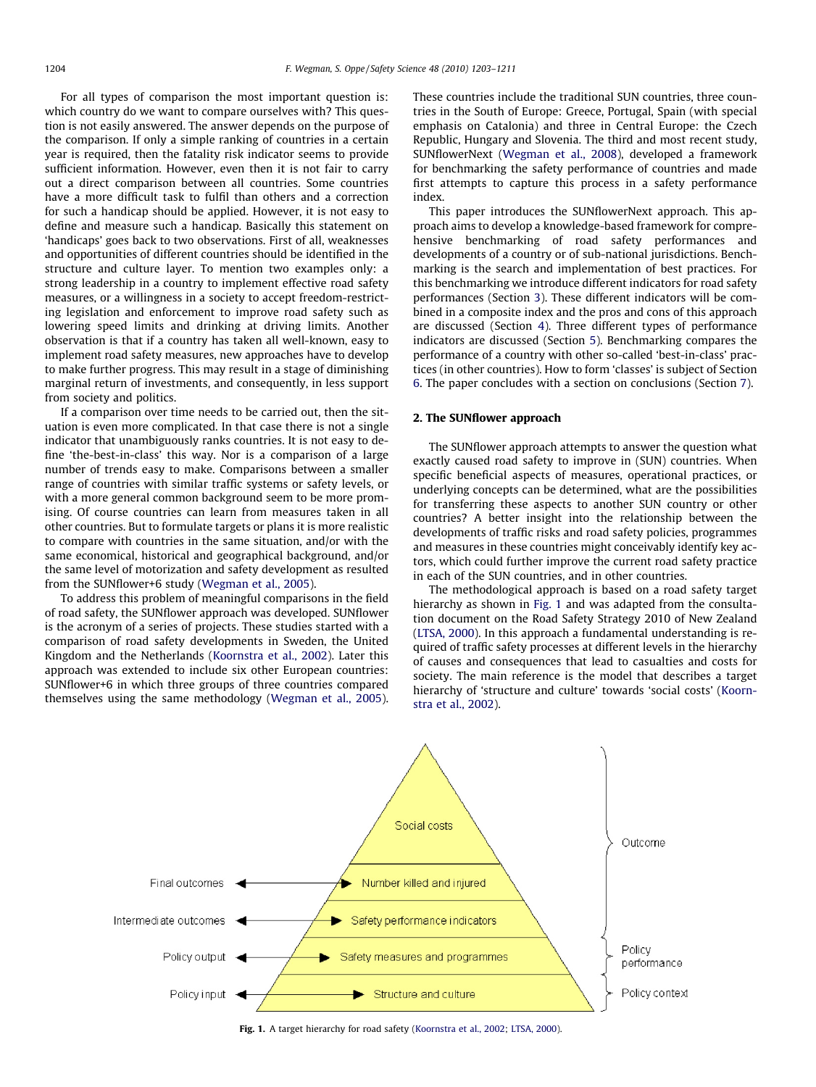For all types of comparison the most important question is: which country do we want to compare ourselves with? This question is not easily answered. The answer depends on the purpose of the comparison. If only a simple ranking of countries in a certain year is required, then the fatality risk indicator seems to provide sufficient information. However, even then it is not fair to carry out a direct comparison between all countries. Some countries have a more difficult task to fulfil than others and a correction for such a handicap should be applied. However, it is not easy to define and measure such a handicap. Basically this statement on 'handicaps' goes back to two observations. First of all, weaknesses and opportunities of different countries should be identified in the structure and culture layer. To mention two examples only: a strong leadership in a country to implement effective road safety measures, or a willingness in a society to accept freedom-restricting legislation and enforcement to improve road safety such as lowering speed limits and drinking at driving limits. Another observation is that if a country has taken all well-known, easy to implement road safety measures, new approaches have to develop to make further progress. This may result in a stage of diminishing marginal return of investments, and consequently, in less support from society and politics.

If a comparison over time needs to be carried out, then the situation is even more complicated. In that case there is not a single indicator that unambiguously ranks countries. It is not easy to define 'the-best-in-class' this way. Nor is a comparison of a large number of trends easy to make. Comparisons between a smaller range of countries with similar traffic systems or safety levels, or with a more general common background seem to be more promising. Of course countries can learn from measures taken in all other countries. But to formulate targets or plans it is more realistic to compare with countries in the same situation, and/or with the same economical, historical and geographical background, and/or the same level of motorization and safety development as resulted from the SUNflower+6 study [\(Wegman et al., 2005](#page--1-0)).

To address this problem of meaningful comparisons in the field of road safety, the SUNflower approach was developed. SUNflower is the acronym of a series of projects. These studies started with a comparison of road safety developments in Sweden, the United Kingdom and the Netherlands [\(Koornstra et al., 2002](#page--1-0)). Later this approach was extended to include six other European countries: SUNflower+6 in which three groups of three countries compared themselves using the same methodology ([Wegman et al., 2005\)](#page--1-0). These countries include the traditional SUN countries, three countries in the South of Europe: Greece, Portugal, Spain (with special emphasis on Catalonia) and three in Central Europe: the Czech Republic, Hungary and Slovenia. The third and most recent study, SUNflowerNext [\(Wegman et al., 2008\)](#page--1-0), developed a framework for benchmarking the safety performance of countries and made first attempts to capture this process in a safety performance index.

This paper introduces the SUNflowerNext approach. This approach aims to develop a knowledge-based framework for comprehensive benchmarking of road safety performances and developments of a country or of sub-national jurisdictions. Benchmarking is the search and implementation of best practices. For this benchmarking we introduce different indicators for road safety performances (Section [3\)](#page--1-0). These different indicators will be combined in a composite index and the pros and cons of this approach are discussed (Section [4\)](#page--1-0). Three different types of performance indicators are discussed (Section [5](#page--1-0)). Benchmarking compares the performance of a country with other so-called 'best-in-class' practices (in other countries). How to form 'classes' is subject of Section [6](#page--1-0). The paper concludes with a section on conclusions (Section [7](#page--1-0)).

#### 2. The SUNflower approach

The SUNflower approach attempts to answer the question what exactly caused road safety to improve in (SUN) countries. When specific beneficial aspects of measures, operational practices, or underlying concepts can be determined, what are the possibilities for transferring these aspects to another SUN country or other countries? A better insight into the relationship between the developments of traffic risks and road safety policies, programmes and measures in these countries might conceivably identify key actors, which could further improve the current road safety practice in each of the SUN countries, and in other countries.

The methodological approach is based on a road safety target hierarchy as shown in Fig. 1 and was adapted from the consultation document on the Road Safety Strategy 2010 of New Zealand ([LTSA, 2000](#page--1-0)). In this approach a fundamental understanding is required of traffic safety processes at different levels in the hierarchy of causes and consequences that lead to casualties and costs for society. The main reference is the model that describes a target hierarchy of 'structure and culture' towards 'social costs' ([Koorn](#page--1-0)[stra et al., 2002\)](#page--1-0).



Fig. 1. A target hierarchy for road safety [\(Koornstra et al., 2002;](#page--1-0) [LTSA, 2000\)](#page--1-0).